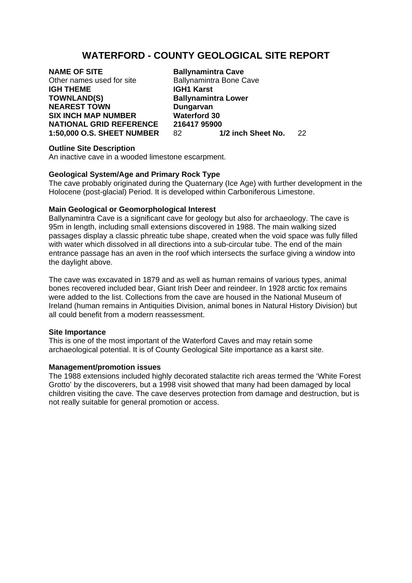# **WATERFORD - COUNTY GEOLOGICAL SITE REPORT**

# **NAME OF SITE**<br>Other names used for site<br>Ballynamintra Bone C **IGH THEME IGH1 Karst TOWNLAND(S)** Ballynamintra Lower **NEAREST TOWN Dungarvan SIX INCH MAP NUMBER Waterford 30**

Ballynamintra Bone Cave **NATIONAL GRID REFERENCE 216417 95900**<br>1:50,000 O.S. SHEET NUMBER 82 1/2 inch Sheet No. **1:50,000 O.S. SHEET NUMBER** 82 **1/2 inch Sheet No.** 22

## **Outline Site Description**

An inactive cave in a wooded limestone escarpment.

## **Geological System/Age and Primary Rock Type**

The cave probably originated during the Quaternary (Ice Age) with further development in the Holocene (post-glacial) Period. It is developed within Carboniferous Limestone.

## **Main Geological or Geomorphological Interest**

Ballynamintra Cave is a significant cave for geology but also for archaeology. The cave is 95m in length, including small extensions discovered in 1988. The main walking sized passages display a classic phreatic tube shape, created when the void space was fully filled with water which dissolved in all directions into a sub-circular tube. The end of the main entrance passage has an aven in the roof which intersects the surface giving a window into the daylight above.

The cave was excavated in 1879 and as well as human remains of various types, animal bones recovered included bear, Giant Irish Deer and reindeer. In 1928 arctic fox remains were added to the list. Collections from the cave are housed in the National Museum of Ireland (human remains in Antiquities Division, animal bones in Natural History Division) but all could benefit from a modern reassessment.

## **Site Importance**

This is one of the most important of the Waterford Caves and may retain some archaeological potential. It is of County Geological Site importance as a karst site.

## **Management/promotion issues**

The 1988 extensions included highly decorated stalactite rich areas termed the 'White Forest Grotto' by the discoverers, but a 1998 visit showed that many had been damaged by local children visiting the cave. The cave deserves protection from damage and destruction, but is not really suitable for general promotion or access.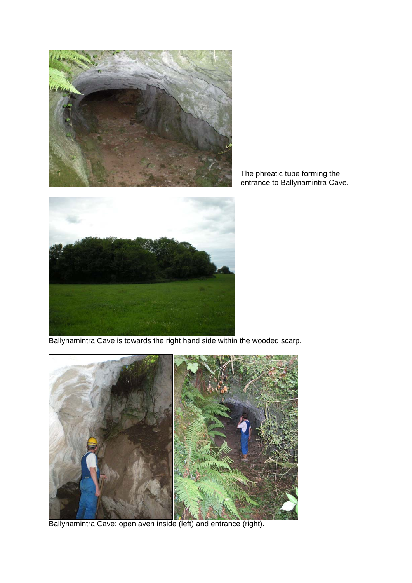

The phreatic tube forming the entrance to Ballynamintra Cave.



Ballynamintra Cave is towards the right hand side within the wooded scarp.



Ballynamintra Cave: open aven inside (left) and entrance (right).